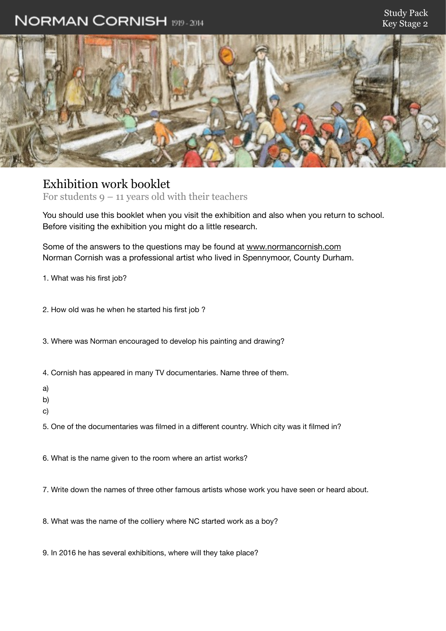## NORMAN CORNISH 1919-2014



## Exhibition work booklet

For students  $9 - 11$  years old with their teachers

You should use this booklet when you visit the exhibition and also when you return to school. Before visiting the exhibition you might do a little research.

Some of the answers to the questions may be found at [www.normancornish.com](http://www.normancornish.com) Norman Cornish was a professional artist who lived in Spennymoor, County Durham.

1. What was his first job?

2. How old was he when he started his first job ?

3. Where was Norman encouraged to develop his painting and drawing?

4. Cornish has appeared in many TV documentaries. Name three of them.

a)

b)

c)

5. One of the documentaries was filmed in a different country. Which city was it filmed in?

6. What is the name given to the room where an artist works?

7. Write down the names of three other famous artists whose work you have seen or heard about.

8. What was the name of the colliery where NC started work as a boy?

9. In 2016 he has several exhibitions, where will they take place?